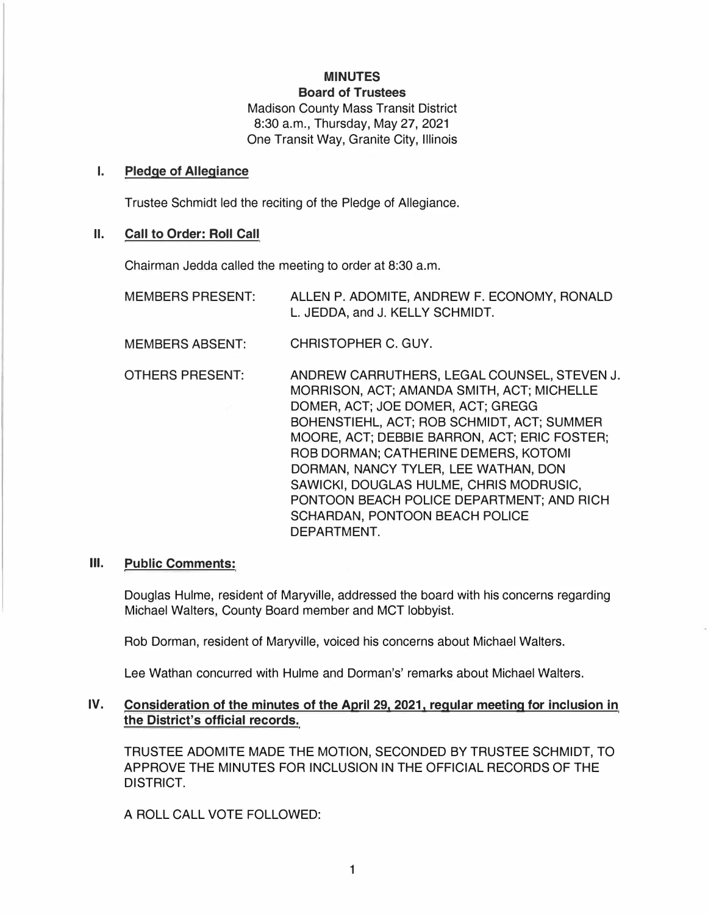# **MINUTES**

**Board of Trustees**  Madison County Mass Transit District 8:30 a.m., Thursday, May 27, 2021 One Transit Way, Granite City, Illinois

### **I. Pledge of Allegiance**

Trustee Schmidt led the reciting of the Pledge of Allegiance.

### **II. Call to Order: Roll Call**

Chairman Jedda called the meeting to order at 8:30 a.m.

- MEMBERS PRESENT: ALLEN P. ADOMITE, ANDREW F. ECONOMY, RONALD L. JEDDA, and J. KELLY SCHMIDT.
- MEMBERS ABSENT: CHRISTOPHER C. GUY.
- OTHERS PRESENT: ANDREW CARRUTHERS, LEGAL COUNSEL, STEVEN J. MORRISON, ACT; AMANDA SMITH, ACT; MICHELLE DOMER, ACT; JOE DOMER, ACT; GREGG BOHENSTIEHL, ACT; ROB SCHMIDT, ACT; SUMMER MOORE, ACT; DEBBIE BARRON, ACT; ERIC FOSTER; ROB DORMAN; CATHERINE DEMERS, KOTOMI DORMAN, NANCY TYLER, LEE WATHAN, DON SAWICKI, DOUGLAS HULME, CHRIS MODRUSIC, PONTOON BEACH POLICE DEPARTMENT; AND RICH SCHARDAN, PONTOON BEACH POLICE DEPARTMENT.

#### **Ill. Public Comments:**

Douglas Hulme, resident of Maryville, addressed the board with his concerns regarding Michael Walters, County Board member and MCT lobbyist.

Rob Dorman, resident of Maryville, voiced his concerns about Michael Walters.

Lee Wathan concurred with Hulme and Dorman's' remarks about Michael Walters.

## **IV. Consideration of the minutes of the April 29, 2021, regular meeting for inclusion in the District's official records.**

TRUSTEE ADOMITE MADE THE MOTION, SECONDED BY TRUSTEE SCHMIDT, TO APPROVE THE MINUTES FOR INCLUSION IN THE OFFICIAL RECORDS OF THE DISTRICT.

A ROLL CALL VOTE FOLLOWED: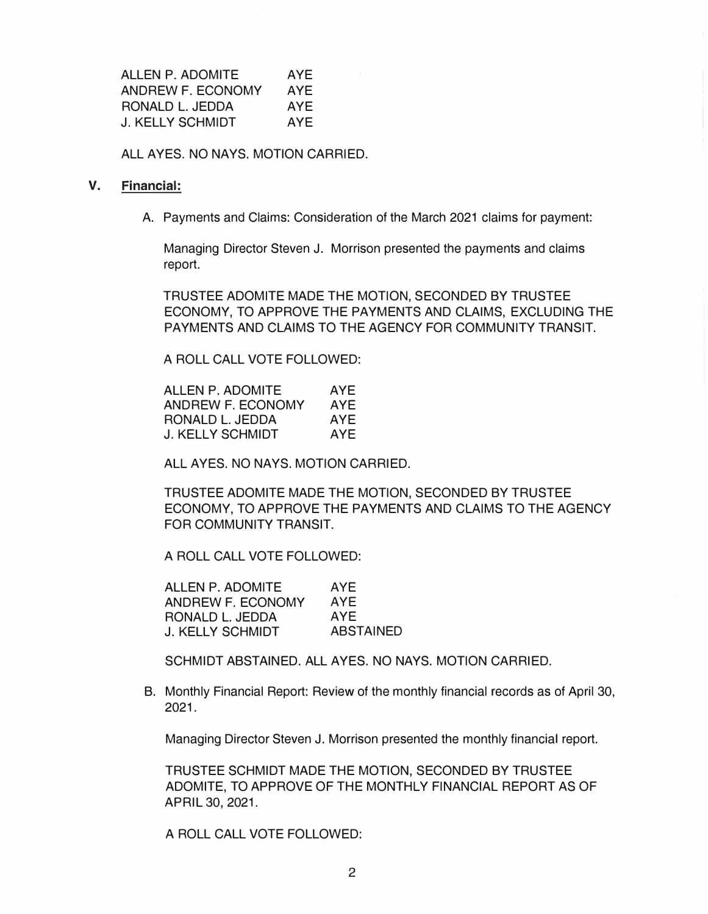ALLEN P. ADOMITE AYE ANDREW F. ECONOMY AYE RONALD L. JEDDA AYE J. KELLY SCHMIDT AYE

ALL AYES. NO NAYS. MOTION CARRIED.

#### **V. Financial:**

A. Payments and Claims: Consideration of the March 2021 claims for payment:

Managing Director Steven J. Morrison presented the payments and claims report.

TRUSTEE ADOMITE MADE THE MOTION, SECONDED BY TRUSTEE ECONOMY, TO APPROVE THE PAYMENTS AND CLAIMS, EXCLUDING THE PAYMENTS AND CLAIMS TO THE AGENCY FOR COMMUNITY TRANSIT.

A ROLL CALL VOTE FOLLOWED:

| ALLEN P. ADOMITE  | AYE |
|-------------------|-----|
| ANDREW F. ECONOMY | AYE |
| RONALD L. JEDDA   | AYE |
| J. KELLY SCHMIDT  | AYF |

ALL AYES. NO NAYS. MOTION CARRIED.

TRUSTEE ADOMITE MADE THE MOTION, SECONDED BY TRUSTEE ECONOMY, TO APPROVE THE PAYMENTS AND CLAIMS TO THE AGENCY FOR COMMUNITY TRANSIT.

A ROLL CALL VOTE FOLLOWED:

| <b>ALLEN P. ADOMITE</b> | AYE.             |
|-------------------------|------------------|
| ANDREW F. ECONOMY       | <b>AYE</b>       |
| RONALD L. JEDDA         | AYE              |
| <b>J. KELLY SCHMIDT</b> | <b>ABSTAINED</b> |

SCHMIDT ABSTAINED. ALL AYES. NO NAYS. MOTION CARRIED.

B. Monthly Financial Report: Review of the monthly financial records as of April 30, 2021.

Managing Director Steven J. Morrison presented the monthly financial report.

TRUSTEE SCHMIDT MADE THE MOTION, SECONDED BY TRUSTEE ADOMITE, TO APPROVE OF THE MONTHLY FINANCIAL REPORT AS OF APRIL 30, 2021.

A ROLL CALL VOTE FOLLOWED: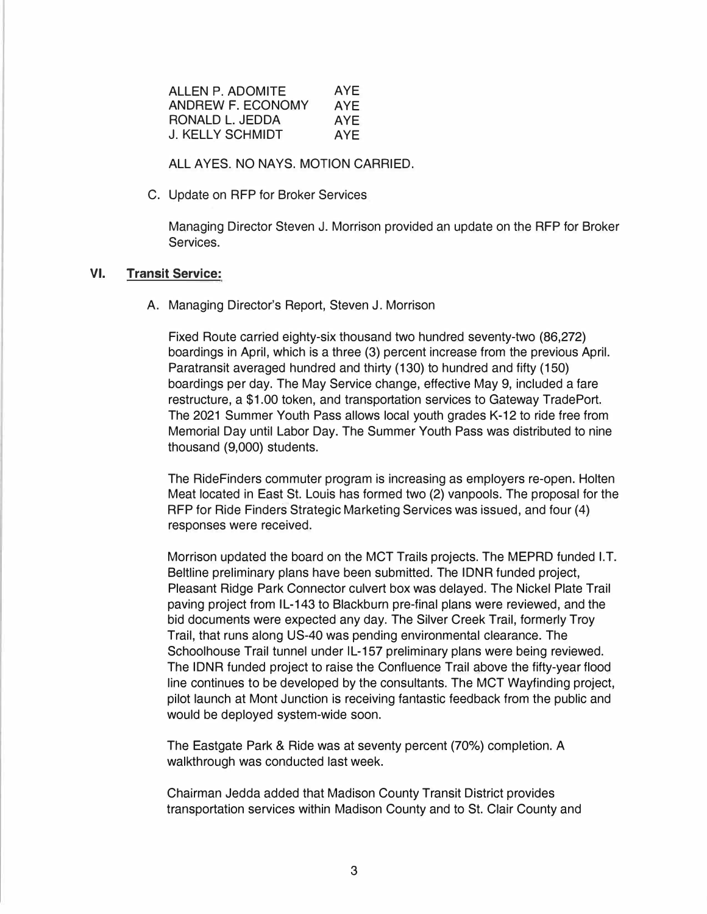| AYE  |
|------|
| AYE. |
| AYE  |
| AYE  |
|      |

**ALL AYES. NO NAYS. MOTION CARRIED.** 

C. Update on RFP for Broker Services

Managing Director Steven J. Morrison provided an update on the RFP for Broker Services.

## **VI. Transit Service:**

A. Managing Director's Report, Steven J. Morrison

Fixed Route carried eighty-six thousand two hundred seventy-two (86,272) boardings in April, which is a three (3) percent increase from the previous April. Paratransit averaged hundred and thirty (130) to hundred and fifty (150) boardings per day. The May Service change, effective May 9, included a fare restructure, a \$1.00 token, and transportation services to Gateway TradePort. The 2021 Summer Youth Pass allows local youth grades K-12 to ride free from Memorial Day until Labor Day. The Summer Youth Pass was distributed to nine thousand (9,000) students.

The RideFinders commuter program is increasing as employers re-open. Holten Meat located in East St. Louis has formed two (2) vanpools. The proposal for the RFP for Ride Finders Strategic Marketing Services was issued, and four (4) responses were received.

Morrison updated the board on the MCT Trails projects. The MEPRD funded I.T. Beltline preliminary plans have been submitted. The IDNR funded project, Pleasant Ridge Park Connector culvert box was delayed. The Nickel Plate Trail paving project from IL-143 to Blackburn pre-final plans were reviewed, and the bid documents were expected any day. The Silver Creek Trail, formerly Troy Trail, that runs along US-40 was pending environmental clearance. The Schoolhouse Trail tunnel under IL-157 preliminary plans were being reviewed. The IDNR funded project to raise the Confluence Trail above the fifty-year flood line continues to be developed by the consultants. The MCT Wayfinding project, pilot launch at Mont Junction is receiving fantastic feedback from the public and would be deployed system-wide soon.

The Eastgate Park & Ride was at seventy percent (70%) completion. A walkthrough was conducted last week.

Chairman Jedda added that Madison County Transit District provides transportation services within Madison County and to St. Clair County and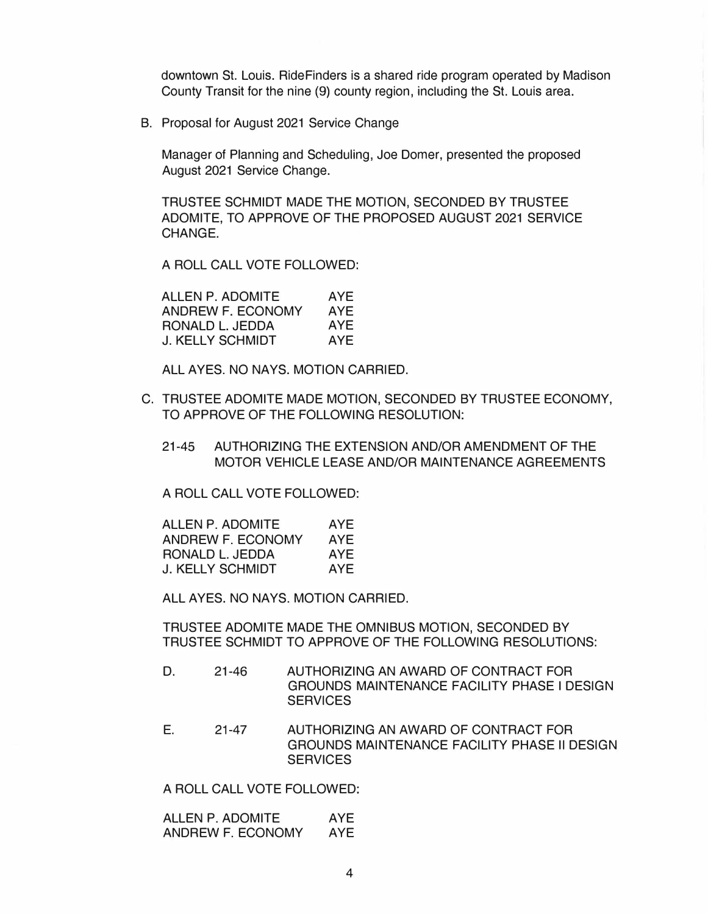downtown St. Louis. RideFinders is a shared ride program operated by Madison County Transit for the nine (9) county region, including the St. Louis area.

B. Proposal for August 2021 Service Change

Manager of Planning and Scheduling, Joe Domer, presented the proposed August 2021 Service Change.

TRUSTEE SCHMIDT MADE THE MOTION, SECONDED BY TRUSTEE ADOMITE, TO APPROVE OF THE PROPOSED AUGUST 2021 SERVICE CHANGE.

A ROLL CALL VOTE FOLLOWED:

| ALLEN P. ADOMITE  | AYE        |
|-------------------|------------|
| ANDREW F. ECONOMY | AYE        |
| RONALD L. JEDDA   | AYE        |
| J. KELLY SCHMIDT  | <b>AYF</b> |

ALL AYES. NO NAYS. MOTION CARRIED.

- C. TRUSTEE ADOMITE MADE MOTION, SECONDED BY TRUSTEE ECONOMY, TO APPROVE OF THE FOLLOWING RESOLUTION:
	- 21-45 AUTHORIZING THE EXTENSION AND/OR AMENDMENT OF THE MOTOR VEHICLE LEASE AND/OR MAINTENANCE AGREEMENTS

A ROLL CALL VOTE FOLLOWED:

| ALLEN P. ADOMITE  | AYE. |
|-------------------|------|
| ANDREW F. ECONOMY | AYE. |
| RONALD L. JEDDA   | AYE  |
| J. KELLY SCHMIDT  | AYE. |

ALL AYES. NO NAYS. MOTION CARRIED.

TRUSTEE ADOMITE MADE THE OMNIBUS MOTION, SECONDED BY TRUSTEE SCHMIDT TO APPROVE OF THE FOLLOWING RESOLUTIONS:

- D. 21-46 AUTHORIZING AN AWARD OF CONTRACT FOR GROUNDS MAINTENANCE FACILITY PHASE LDESIGN **SERVICES**
- E. 21-47 AUTHORIZING AN AWARD OF CONTRACT FOR GROUNDS MAINTENANCE FACILITY PHASE II DESIGN **SERVICES**

A ROLL CALL VOTE FOLLOWED:

ALLEN P. ADOMITE AYE ANDREW F. ECONOMY AYE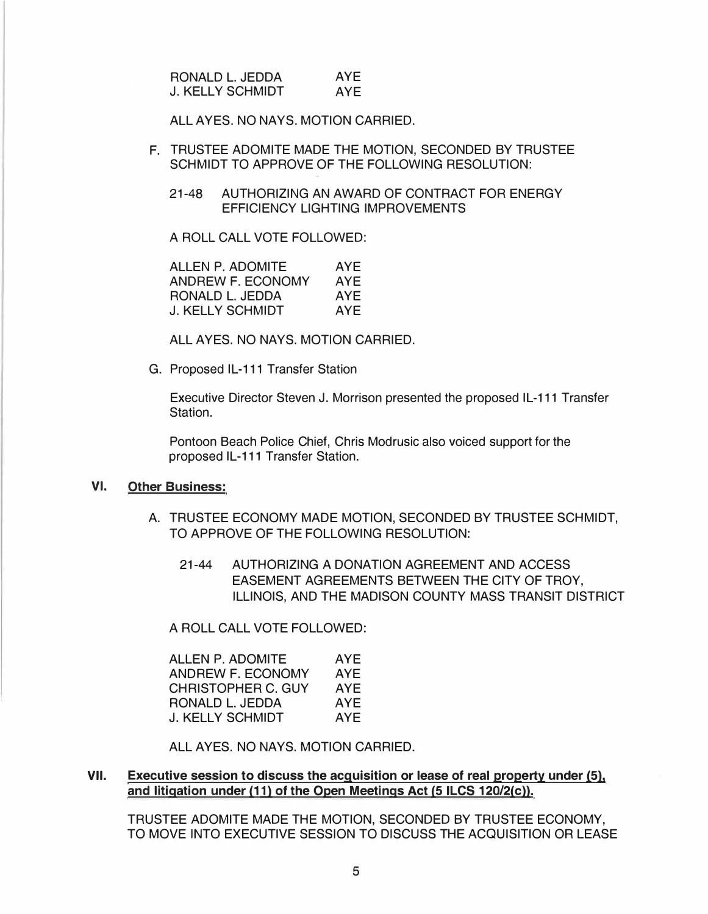| RONALD L. JEDDA         | AYE. |
|-------------------------|------|
| <b>J. KELLY SCHMIDT</b> | AYF  |

ALL AYES. NO NAYS. MOTION CARRIED.

- F. TRUSTEE ADOMITE MADE THE MOTION, SECONDED BY TRUSTEE SCHMIDT TO APPROVE OF THE FOLLOWING RESOLUTION:
	- 21-48 AUTHORIZING AN AWARD OF CONTRACT FOR ENERGY EFFICIENCY LIGHTING IMPROVEMENTS

A ROLL CALL VOTE FOLLOWED:

| ALLEN P. ADOMITE  | AYE |
|-------------------|-----|
| ANDREW F. ECONOMY | AYE |
| RONALD L. JEDDA   | AYE |
| J. KELLY SCHMIDT  | AYF |

ALL AYES. NO NAYS. MOTION CARRIED.

G. Proposed IL-111 Transfer Station

Executive Director Steven J. Morrison presented the proposed IL-111 Transfer Station.

Pontoon Beach Police Chief, Chris Modrusic also voiced support for the proposed IL-111 Transfer Station.

#### **VI. Other Business:**

- A. TRUSTEE ECONOMY MADE MOTION, SECONDED BY TRUSTEE SCHMIDT, TO APPROVE OF THE FOLLOWING RESOLUTION:
	- 21-44 AUTHORIZING A DONATION AGREEMENT AND ACCESS EASEMENT AGREEMENTS BETWEEN THE CITY OF TROY, ILLINOIS, AND THE MADISON COUNTY MASS TRANSIT DISTRICT

A ROLL CALL VOTE FOLLOWED:

| ALLEN P. ADOMITE          | AYE |
|---------------------------|-----|
| ANDREW F. ECONOMY         | AYE |
| <b>CHRISTOPHER C. GUY</b> | AYF |
| RONALD L. JEDDA           | AYE |
| <b>J. KELLY SCHMIDT</b>   | AYF |

ALL AYES. NO NAYS. MOTION CARRIED.

#### **VII. Executive session to discuss the acquisition or lease of real property under (5), and litigation under (11) of the Open Meetings Act (5 ILCS 120/2(c)).**

TRUSTEE ADOMITE MADE THE MOTION, SECONDED BY TRUSTEE ECONOMY, TO MOVE INTO EXECUTIVE SESSION TO DISCUSS THE ACQUISITION OR LEASE